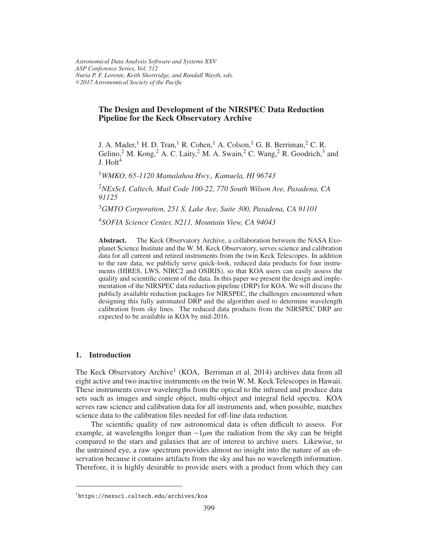# The Design and Development of the NIRSPEC Data Reduction Pipeline for the Keck Observatory Archive

J. A. Mader,<sup>1</sup> H. D. Tran,<sup>1</sup> R. Cohen,<sup>1</sup> A. Colson,<sup>1</sup> G. B. Berriman,<sup>2</sup> C. R. Gelino,<sup>2</sup> M. Kong,<sup>2</sup> A. C. Laity,<sup>2</sup> M. A. Swain,<sup>2</sup> C. Wang,<sup>2</sup> R. Goodrich,<sup>3</sup> and  $I$  Holt<sup>4</sup>

<sup>1</sup>*WMKO, 65-1120 Mamalahoa Hwy., Kamuela, HI 96743*

<sup>2</sup>*NExScI, Caltech, Mail Code 100-22, 770 South Wilson Ave, Pasadena, CA 91125*

<sup>3</sup>*GMTO Corporation, 251 S. Lake Ave, Suite 300, Pasadena, CA 91101*

<sup>4</sup>*SOFIA Science Center, N211, Mountain View, CA 94043*

Abstract. The Keck Observatory Archive, a collaboration between the NASA Exoplanet Science Institute and the W. M. Keck Observatory, serves science and calibration data for all current and retired instruments from the twin Keck Telescopes. In addition to the raw data, we publicly serve quick-look, reduced data products for four instruments (HIRES, LWS, NIRC2 and OSIRIS), so that KOA users can easily assess the quality and scientific content of the data. In this paper we present the design and implementation of the NIRSPEC data reduction pipeline (DRP) for KOA. We will discuss the publicly available reduction packages for NIRSPEC, the challenges encountered when designing this fully automated DRP and the algorithm used to determine wavelength calibration from sky lines. The reduced data products from the NIRSPEC DRP are expected to be available in KOA by mid-2016.

### 1. Introduction

The Keck Observatory Archive<sup>1</sup> (KOA, Berriman et al. 2014) archives data from all eight active and two inactive instruments on the twin W. M. Keck Telescopes in Hawaii. These instruments cover wavelengths from the optical to the infrared and produce data sets such as images and single object, multi-object and integral field spectra. KOA serves raw science and calibration data for all instruments and, when possible, matches science data to the calibration files needed for off-line data reduction.

The scientific quality of raw astronomical data is often difficult to assess. For example, at wavelengths longer than ∼1µ*m* the radiation from the sky can be bright compared to the stars and galaxies that are of interest to archive users. Likewise, to the untrained eye, a raw spectrum provides almost no insight into the nature of an observation because it contains artifacts from the sky and has no wavelength information. Therefore, it is highly desirable to provide users with a product from which they can

<sup>1</sup>https://nexsci.caltech.edu/archives/koa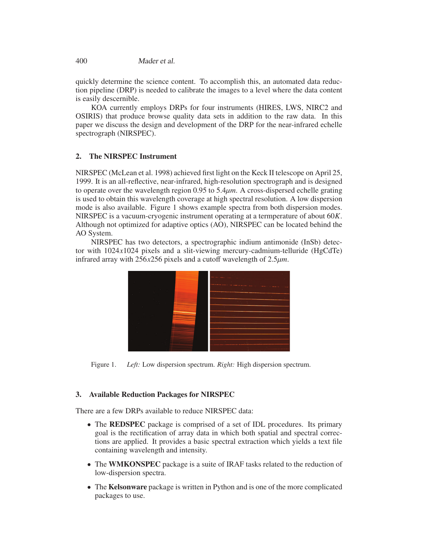400 Mader et al.

quickly determine the science content. To accomplish this, an automated data reduction pipeline (DRP) is needed to calibrate the images to a level where the data content is easily descernible.

KOA currently employs DRPs for four instruments (HIRES, LWS, NIRC2 and OSIRIS) that produce browse quality data sets in addition to the raw data. In this paper we discuss the design and development of the DRP for the near-infrared echelle spectrograph (NIRSPEC).

# 2. The NIRSPEC Instrument

NIRSPEC (McLean et al. 1998) achieved first light on the Keck II telescope on April 25, 1999. It is an all-reflective, near-infrared, high-resolution spectrograph and is designed to operate over the wavelength region 0.95 to 5.4µ*m*. A cross-dispersed echelle grating is used to obtain this wavelength coverage at high spectral resolution. A low dispersion mode is also available. Figure 1 shows example spectra from both dispersion modes. NIRSPEC is a vacuum-cryogenic instrument operating at a termperature of about 60*K*. Although not optimized for adaptive optics (AO), NIRSPEC can be located behind the AO System.

NIRSPEC has two detectors, a spectrographic indium antimonide (InSb) detector with 1024*x*1024 pixels and a slit-viewing mercury-cadmium-telluride (HgCdTe) infrared array with 256*x*256 pixels and a cutoff wavelength of 2.5µ*m*.



Figure 1. *Left:* Low dispersion spectrum. *Right:* High dispersion spectrum.

## 3. Available Reduction Packages for NIRSPEC

There are a few DRPs available to reduce NIRSPEC data:

- The **REDSPEC** package is comprised of a set of IDL procedures. Its primary goal is the rectification of array data in which both spatial and spectral corrections are applied. It provides a basic spectral extraction which yields a text file containing wavelength and intensity.
- The WMKONSPEC package is a suite of IRAF tasks related to the reduction of low-dispersion spectra.
- The Kelsonware package is written in Python and is one of the more complicated packages to use.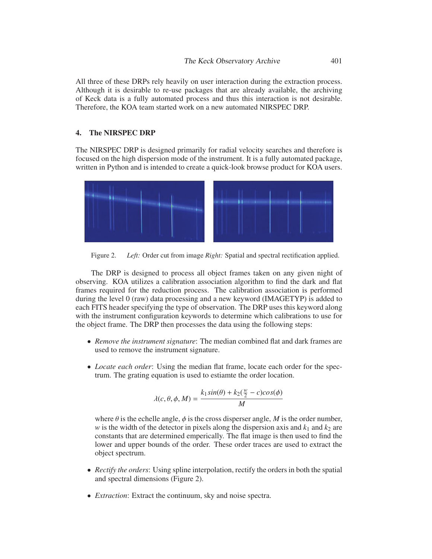All three of these DRPs rely heavily on user interaction during the extraction process. Although it is desirable to re-use packages that are already available, the archiving of Keck data is a fully automated process and thus this interaction is not desirable. Therefore, the KOA team started work on a new automated NIRSPEC DRP.

## 4. The NIRSPEC DRP

The NIRSPEC DRP is designed primarily for radial velocity searches and therefore is focused on the high dispersion mode of the instrument. It is a fully automated package, written in Python and is intended to create a quick-look browse product for KOA users.



Figure 2. *Left:* Order cut from image *Right:* Spatial and spectral rectification applied.

The DRP is designed to process all object frames taken on any given night of observing. KOA utilizes a calibration association algorithm to find the dark and flat frames required for the reduction process. The calibration association is performed during the level 0 (raw) data processing and a new keyword (IMAGETYP) is added to each FITS header specifying the type of observation. The DRP uses this keyword along with the instrument configuration keywords to determine which calibrations to use for the object frame. The DRP then processes the data using the following steps:

- *Remove the instrument signature*: The median combined flat and dark frames are used to remove the instrument signature.
- *Locate each order*: Using the median flat frame, locate each order for the spectrum. The grating equation is used to estiamte the order location.

$$
\lambda(c, \theta, \phi, M) = \frac{k_1 \sin(\theta) + k_2(\frac{w}{2} - c)\cos(\phi)}{M}
$$

where  $\theta$  is the echelle angle,  $\phi$  is the cross disperser angle, *M* is the order number, *w* is the width of the detector in pixels along the dispersion axis and  $k_1$  and  $k_2$  are constants that are determined emperically. The flat image is then used to find the lower and upper bounds of the order. These order traces are used to extract the object spectrum.

- *Rectify the orders*: Using spline interpolation, rectify the orders in both the spatial and spectral dimensions (Figure 2).
- *Extraction*: Extract the continuum, sky and noise spectra.